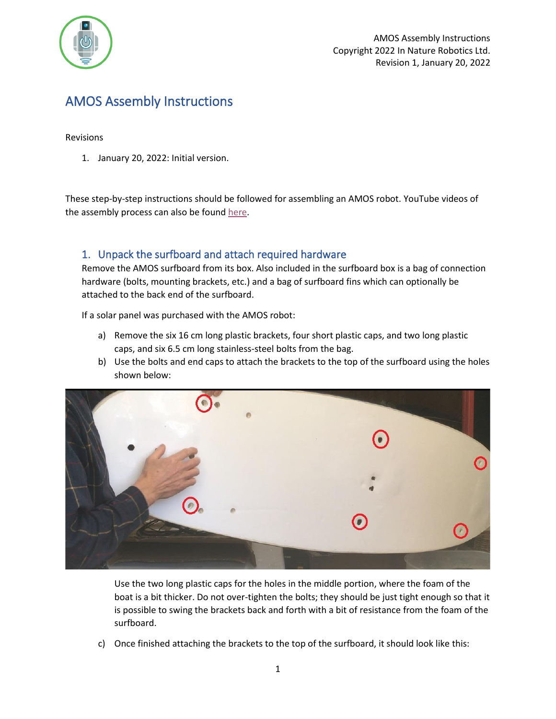

# AMOS Assembly Instructions

#### Revisions

1. January 20, 2022: Initial version.

These step-by-step instructions should be followed for assembling an AMOS robot. YouTube videos of the assembly process can also be found [here.](https://www.youtube.com/watch?v=bdQag5fWpJY&list=PLXZIZaQln66CrEH7t7QwTYpNqqpqDAEul)

#### <span id="page-0-0"></span>1. Unpack the surfboard and attach required hardware

Remove the AMOS surfboard from its box. Also included in the surfboard box is a bag of connection hardware (bolts, mounting brackets, etc.) and a bag of surfboard fins which can optionally be attached to the back end of the surfboard.

If a solar panel was purchased with the AMOS robot:

- a) Remove the six 16 cm long plastic brackets, four short plastic caps, and two long plastic caps, and six 6.5 cm long stainless-steel bolts from the bag.
- b) Use the bolts and end caps to attach the brackets to the top of the surfboard using the holes shown below:



Use the two long plastic caps for the holes in the middle portion, where the foam of the boat is a bit thicker. Do not over-tighten the bolts; they should be just tight enough so that it is possible to swing the brackets back and forth with a bit of resistance from the foam of the surfboard.

c) Once finished attaching the brackets to the top of the surfboard, it should look like this: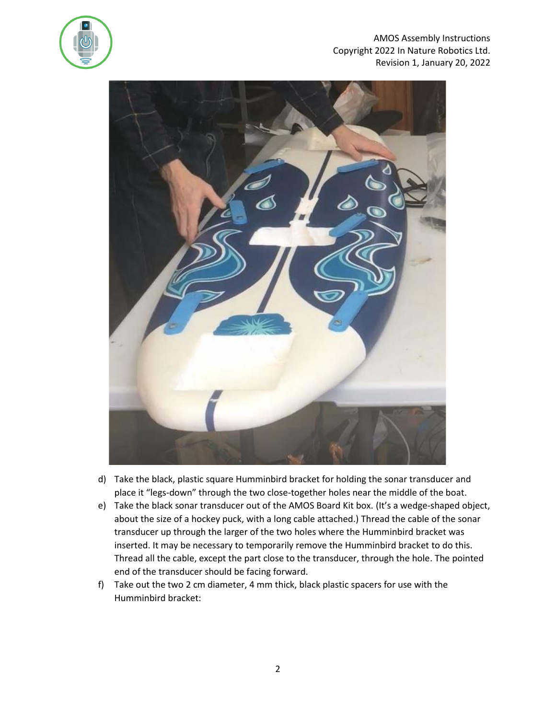

#### AMOS Assembly Instructions Copyright 2022 In Nature Robotics Ltd. Revision 1, January 20, 2022



- d) Take the black, plastic square Humminbird bracket for holding the sonar transducer and place it "legs-down" through the two close-together holes near the middle of the boat.
- e) Take the black sonar transducer out of the AMOS Board Kit box. (It's a wedge-shaped object, about the size of a hockey puck, with a long cable attached.) Thread the cable of the sonar transducer up through the larger of the two holes where the Humminbird bracket was inserted. It may be necessary to temporarily remove the Humminbird bracket to do this. Thread all the cable, except the part close to the transducer, through the hole. The pointed end of the transducer should be facing forward.
- f) Take out the two 2 cm diameter, 4 mm thick, black plastic spacers for use with the Humminbird bracket: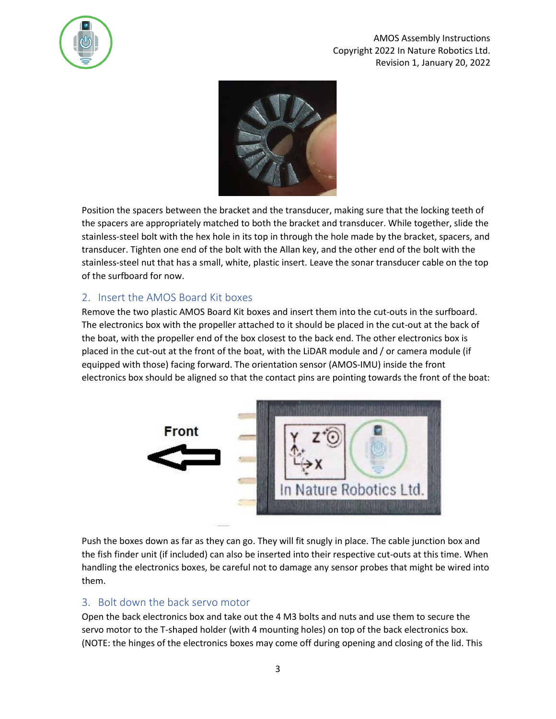

AMOS Assembly Instructions Copyright 2022 In Nature Robotics Ltd. Revision 1, January 20, 2022



Position the spacers between the bracket and the transducer, making sure that the locking teeth of the spacers are appropriately matched to both the bracket and transducer. While together, slide the stainless-steel bolt with the hex hole in its top in through the hole made by the bracket, spacers, and transducer. Tighten one end of the bolt with the Allan key, and the other end of the bolt with the stainless-steel nut that has a small, white, plastic insert. Leave the sonar transducer cable on the top of the surfboard for now.

#### 2. Insert the AMOS Board Kit boxes

Remove the two plastic AMOS Board Kit boxes and insert them into the cut-outs in the surfboard. The electronics box with the propeller attached to it should be placed in the cut-out at the back of the boat, with the propeller end of the box closest to the back end. The other electronics box is placed in the cut-out at the front of the boat, with the LiDAR module and / or camera module (if equipped with those) facing forward. The orientation sensor (AMOS-IMU) inside the front electronics box should be aligned so that the contact pins are pointing towards the front of the boat:



Push the boxes down as far as they can go. They will fit snugly in place. The cable junction box and the fish finder unit (if included) can also be inserted into their respective cut-outs at this time. When handling the electronics boxes, be careful not to damage any sensor probes that might be wired into them.

# 3. Bolt down the back servo motor

Open the back electronics box and take out the 4 M3 bolts and nuts and use them to secure the servo motor to the T-shaped holder (with 4 mounting holes) on top of the back electronics box. (NOTE: the hinges of the electronics boxes may come off during opening and closing of the lid. This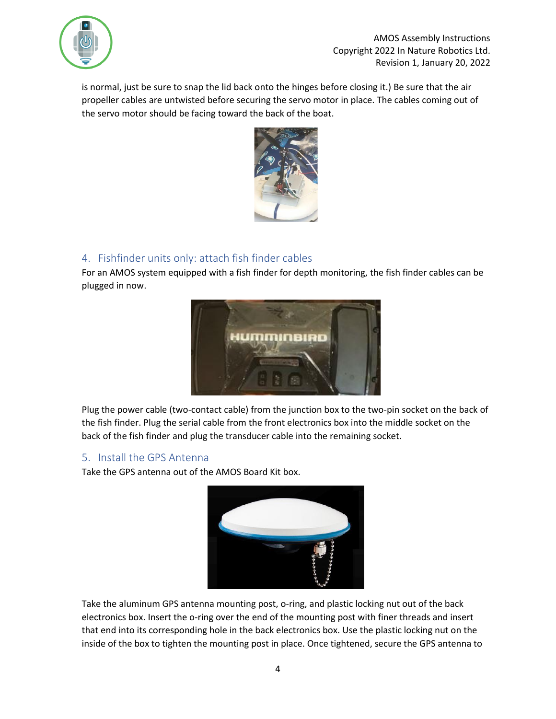

is normal, just be sure to snap the lid back onto the hinges before closing it.) Be sure that the air propeller cables are untwisted before securing the servo motor in place. The cables coming out of the servo motor should be facing toward the back of the boat.



### 4. Fishfinder units only: attach fish finder cables

For an AMOS system equipped with a fish finder for depth monitoring, the fish finder cables can be plugged in now.



Plug the power cable (two-contact cable) from the junction box to the two-pin socket on the back of the fish finder. Plug the serial cable from the front electronics box into the middle socket on the back of the fish finder and plug the transducer cable into the remaining socket.

#### 5. Install the GPS Antenna

Take the GPS antenna out of the AMOS Board Kit box.



Take the aluminum GPS antenna mounting post, o-ring, and plastic locking nut out of the back electronics box. Insert the o-ring over the end of the mounting post with finer threads and insert that end into its corresponding hole in the back electronics box. Use the plastic locking nut on the inside of the box to tighten the mounting post in place. Once tightened, secure the GPS antenna to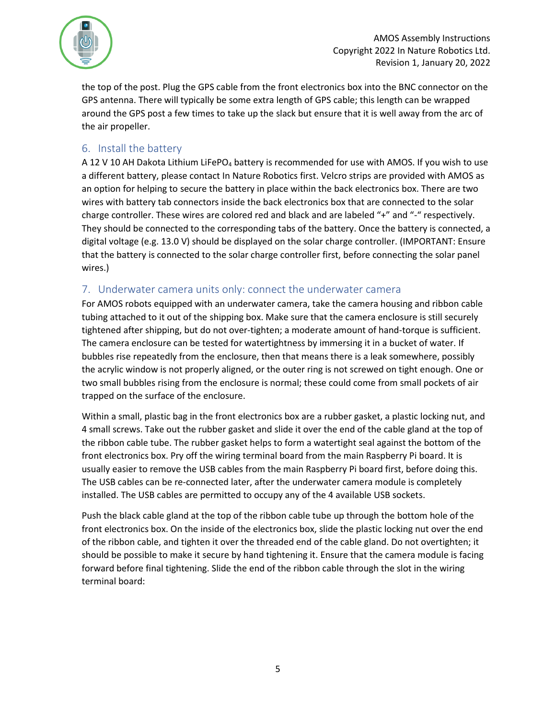

the top of the post. Plug the GPS cable from the front electronics box into the BNC connector on the GPS antenna. There will typically be some extra length of GPS cable; this length can be wrapped around the GPS post a few times to take up the slack but ensure that it is well away from the arc of the air propeller.

#### <span id="page-4-0"></span>6. Install the battery

A 12 V 10 AH Dakota Lithium LiFePO<sub>4</sub> battery is recommended for use with AMOS. If you wish to use a different battery, please contact In Nature Robotics first. Velcro strips are provided with AMOS as an option for helping to secure the battery in place within the back electronics box. There are two wires with battery tab connectors inside the back electronics box that are connected to the solar charge controller. These wires are colored red and black and are labeled "+" and "-" respectively. They should be connected to the corresponding tabs of the battery. Once the battery is connected, a digital voltage (e.g. 13.0 V) should be displayed on the solar charge controller. (IMPORTANT: Ensure that the battery is connected to the solar charge controller first, before connecting the solar panel wires.)

### 7. Underwater camera units only: connect the underwater camera

For AMOS robots equipped with an underwater camera, take the camera housing and ribbon cable tubing attached to it out of the shipping box. Make sure that the camera enclosure is still securely tightened after shipping, but do not over-tighten; a moderate amount of hand-torque is sufficient. The camera enclosure can be tested for watertightness by immersing it in a bucket of water. If bubbles rise repeatedly from the enclosure, then that means there is a leak somewhere, possibly the acrylic window is not properly aligned, or the outer ring is not screwed on tight enough. One or two small bubbles rising from the enclosure is normal; these could come from small pockets of air trapped on the surface of the enclosure.

Within a small, plastic bag in the front electronics box are a rubber gasket, a plastic locking nut, and 4 small screws. Take out the rubber gasket and slide it over the end of the cable gland at the top of the ribbon cable tube. The rubber gasket helps to form a watertight seal against the bottom of the front electronics box. Pry off the wiring terminal board from the main Raspberry Pi board. It is usually easier to remove the USB cables from the main Raspberry Pi board first, before doing this. The USB cables can be re-connected later, after the underwater camera module is completely installed. The USB cables are permitted to occupy any of the 4 available USB sockets.

Push the black cable gland at the top of the ribbon cable tube up through the bottom hole of the front electronics box. On the inside of the electronics box, slide the plastic locking nut over the end of the ribbon cable, and tighten it over the threaded end of the cable gland. Do not overtighten; it should be possible to make it secure by hand tightening it. Ensure that the camera module is facing forward before final tightening. Slide the end of the ribbon cable through the slot in the wiring terminal board: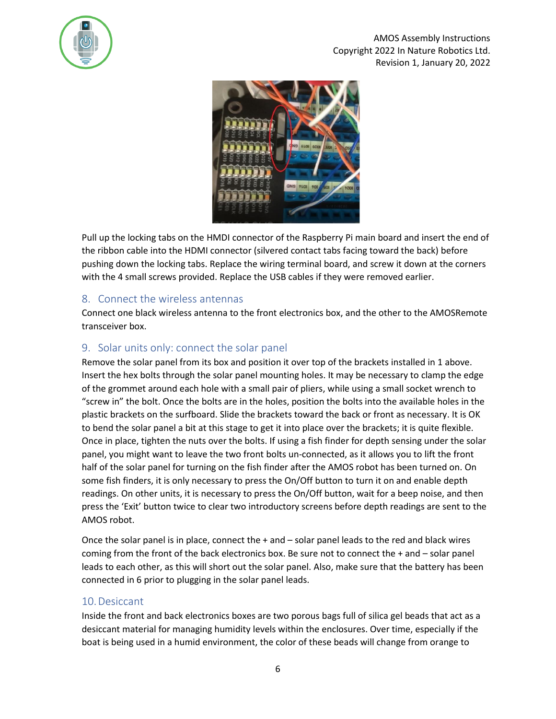

#### AMOS Assembly Instructions Copyright 2022 In Nature Robotics Ltd. Revision 1, January 20, 2022



Pull up the locking tabs on the HMDI connector of the Raspberry Pi main board and insert the end of the ribbon cable into the HDMI connector (silvered contact tabs facing toward the back) before pushing down the locking tabs. Replace the wiring terminal board, and screw it down at the corners with the 4 small screws provided. Replace the USB cables if they were removed earlier.

#### 8. Connect the wireless antennas

Connect one black wireless antenna to the front electronics box, and the other to the AMOSRemote transceiver box.

# 9. Solar units only: connect the solar panel

Remove the solar panel from its box and position it over top of the brackets installed i[n 1](#page-0-0) above. Insert the hex bolts through the solar panel mounting holes. It may be necessary to clamp the edge of the grommet around each hole with a small pair of pliers, while using a small socket wrench to "screw in" the bolt. Once the bolts are in the holes, position the bolts into the available holes in the plastic brackets on the surfboard. Slide the brackets toward the back or front as necessary. It is OK to bend the solar panel a bit at this stage to get it into place over the brackets; it is quite flexible. Once in place, tighten the nuts over the bolts. If using a fish finder for depth sensing under the solar panel, you might want to leave the two front bolts un-connected, as it allows you to lift the front half of the solar panel for turning on the fish finder after the AMOS robot has been turned on. On some fish finders, it is only necessary to press the On/Off button to turn it on and enable depth readings. On other units, it is necessary to press the On/Off button, wait for a beep noise, and then press the 'Exit' button twice to clear two introductory screens before depth readings are sent to the AMOS robot.

Once the solar panel is in place, connect the + and – solar panel leads to the red and black wires coming from the front of the back electronics box. Be sure not to connect the + and – solar panel leads to each other, as this will short out the solar panel. Also, make sure that the battery has been connected i[n 6](#page-4-0) prior to plugging in the solar panel leads.

#### 10.Desiccant

Inside the front and back electronics boxes are two porous bags full of silica gel beads that act as a desiccant material for managing humidity levels within the enclosures. Over time, especially if the boat is being used in a humid environment, the color of these beads will change from orange to